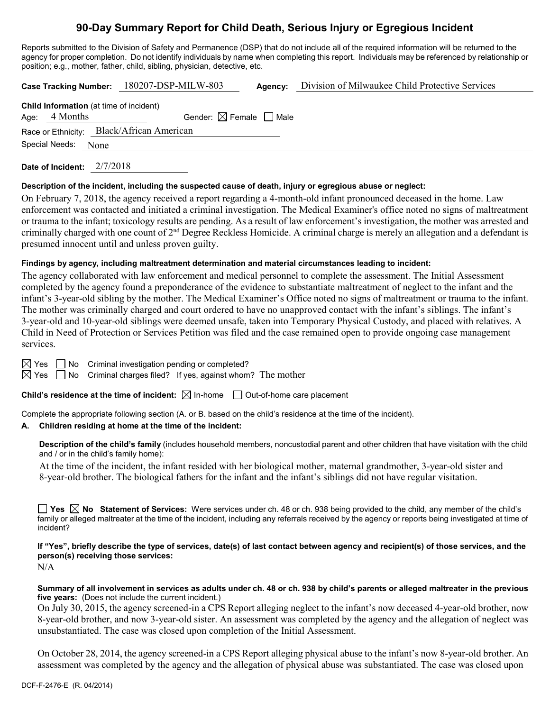# **90-Day Summary Report for Child Death, Serious Injury or Egregious Incident**

Reports submitted to the Division of Safety and Permanence (DSP) that do not include all of the required information will be returned to the agency for proper completion. Do not identify individuals by name when completing this report. Individuals may be referenced by relationship or position; e.g., mother, father, child, sibling, physician, detective, etc.

|                                           |                 |      | Case Tracking Number: 180207-DSP-MILW-803      | Agency: | Division of Milwaukee Child Protective Services |  |  |
|-------------------------------------------|-----------------|------|------------------------------------------------|---------|-------------------------------------------------|--|--|
|                                           |                 |      | <b>Child Information</b> (at time of incident) |         |                                                 |  |  |
|                                           | Age: $4$ Months |      | Gender: $\boxtimes$ Female $\Box$ Male         |         |                                                 |  |  |
| Race or Ethnicity: Black/African American |                 |      |                                                |         |                                                 |  |  |
|                                           | Special Needs:  | None |                                                |         |                                                 |  |  |
|                                           |                 |      |                                                |         |                                                 |  |  |

**Date of Incident:** 2/7/2018

#### **Description of the incident, including the suspected cause of death, injury or egregious abuse or neglect:**

On February 7, 2018, the agency received a report regarding a 4-month-old infant pronounced deceased in the home. Law enforcement was contacted and initiated a criminal investigation. The Medical Examiner's office noted no signs of maltreatment or trauma to the infant; toxicology results are pending. As a result of law enforcement's investigation, the mother was arrested and criminally charged with one count of 2<sup>nd</sup> Degree Reckless Homicide. A criminal charge is merely an allegation and a defendant is presumed innocent until and unless proven guilty.

### **Findings by agency, including maltreatment determination and material circumstances leading to incident:**

The agency collaborated with law enforcement and medical personnel to complete the assessment. The Initial Assessment completed by the agency found a preponderance of the evidence to substantiate maltreatment of neglect to the infant and the infant's 3-year-old sibling by the mother. The Medical Examiner's Office noted no signs of maltreatment or trauma to the infant. The mother was criminally charged and court ordered to have no unapproved contact with the infant's siblings. The infant's 3-year-old and 10-year-old siblings were deemed unsafe, taken into Temporary Physical Custody, and placed with relatives. A Child in Need of Protection or Services Petition was filed and the case remained open to provide ongoing case management services.

 $\boxtimes$  Yes  $\Box$  No Criminal investigation pending or completed?

 $\boxtimes$  Yes  $\Box$  No Criminal charges filed? If yes, against whom? The mother

**Child's residence at the time of incident:**  $\boxtimes$  In-home  $\Box$  Out-of-home care placement

Complete the appropriate following section (A. or B. based on the child's residence at the time of the incident).

### **A. Children residing at home at the time of the incident:**

**Description of the child's family** (includes household members, noncustodial parent and other children that have visitation with the child and / or in the child's family home):

At the time of the incident, the infant resided with her biological mother, maternal grandmother, 3-year-old sister and 8-year-old brother. The biological fathers for the infant and the infant's siblings did not have regular visitation.

**Yes No Statement of Services:** Were services under ch. 48 or ch. 938 being provided to the child, any member of the child's family or alleged maltreater at the time of the incident, including any referrals received by the agency or reports being investigated at time of incident?

**If "Yes", briefly describe the type of services, date(s) of last contact between agency and recipient(s) of those services, and the person(s) receiving those services:**

N/A

**Summary of all involvement in services as adults under ch. 48 or ch. 938 by child's parents or alleged maltreater in the previous five years:** (Does not include the current incident.)

On July 30, 2015, the agency screened-in a CPS Report alleging neglect to the infant's now deceased 4-year-old brother, now 8-year-old brother, and now 3-year-old sister. An assessment was completed by the agency and the allegation of neglect was unsubstantiated. The case was closed upon completion of the Initial Assessment.

On October 28, 2014, the agency screened-in a CPS Report alleging physical abuse to the infant's now 8-year-old brother. An assessment was completed by the agency and the allegation of physical abuse was substantiated. The case was closed upon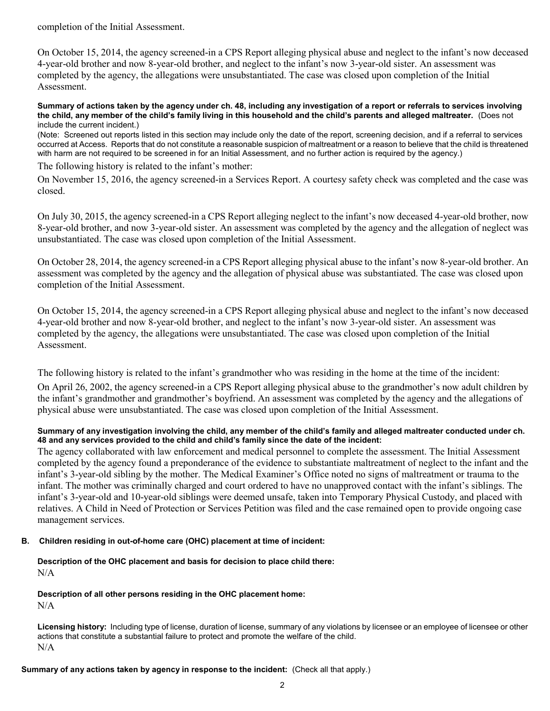completion of the Initial Assessment.

On October 15, 2014, the agency screened-in a CPS Report alleging physical abuse and neglect to the infant's now deceased 4-year-old brother and now 8-year-old brother, and neglect to the infant's now 3-year-old sister. An assessment was completed by the agency, the allegations were unsubstantiated. The case was closed upon completion of the Initial Assessment.

**Summary of actions taken by the agency under ch. 48, including any investigation of a report or referrals to services involving the child, any member of the child's family living in this household and the child's parents and alleged maltreater.** (Does not include the current incident.)

(Note: Screened out reports listed in this section may include only the date of the report, screening decision, and if a referral to services occurred at Access. Reports that do not constitute a reasonable suspicion of maltreatment or a reason to believe that the child is threatened with harm are not required to be screened in for an Initial Assessment, and no further action is required by the agency.)

The following history is related to the infant's mother:

On November 15, 2016, the agency screened-in a Services Report. A courtesy safety check was completed and the case was closed.

On July 30, 2015, the agency screened-in a CPS Report alleging neglect to the infant's now deceased 4-year-old brother, now 8-year-old brother, and now 3-year-old sister. An assessment was completed by the agency and the allegation of neglect was unsubstantiated. The case was closed upon completion of the Initial Assessment.

On October 28, 2014, the agency screened-in a CPS Report alleging physical abuse to the infant's now 8-year-old brother. An assessment was completed by the agency and the allegation of physical abuse was substantiated. The case was closed upon completion of the Initial Assessment.

On October 15, 2014, the agency screened-in a CPS Report alleging physical abuse and neglect to the infant's now deceased 4-year-old brother and now 8-year-old brother, and neglect to the infant's now 3-year-old sister. An assessment was completed by the agency, the allegations were unsubstantiated. The case was closed upon completion of the Initial Assessment.

The following history is related to the infant's grandmother who was residing in the home at the time of the incident:

On April 26, 2002, the agency screened-in a CPS Report alleging physical abuse to the grandmother's now adult children by the infant's grandmother and grandmother's boyfriend. An assessment was completed by the agency and the allegations of physical abuse were unsubstantiated. The case was closed upon completion of the Initial Assessment.

## **Summary of any investigation involving the child, any member of the child's family and alleged maltreater conducted under ch. 48 and any services provided to the child and child's family since the date of the incident:**

The agency collaborated with law enforcement and medical personnel to complete the assessment. The Initial Assessment completed by the agency found a preponderance of the evidence to substantiate maltreatment of neglect to the infant and the infant's 3-year-old sibling by the mother. The Medical Examiner's Office noted no signs of maltreatment or trauma to the infant. The mother was criminally charged and court ordered to have no unapproved contact with the infant's siblings. The infant's 3-year-old and 10-year-old siblings were deemed unsafe, taken into Temporary Physical Custody, and placed with relatives. A Child in Need of Protection or Services Petition was filed and the case remained open to provide ongoing case management services.

## **B. Children residing in out-of-home care (OHC) placement at time of incident:**

**Description of the OHC placement and basis for decision to place child there:** N/A

**Description of all other persons residing in the OHC placement home:**

 $N/A$ 

**Licensing history:** Including type of license, duration of license, summary of any violations by licensee or an employee of licensee or other actions that constitute a substantial failure to protect and promote the welfare of the child. N/A

**Summary of any actions taken by agency in response to the incident:** (Check all that apply.)